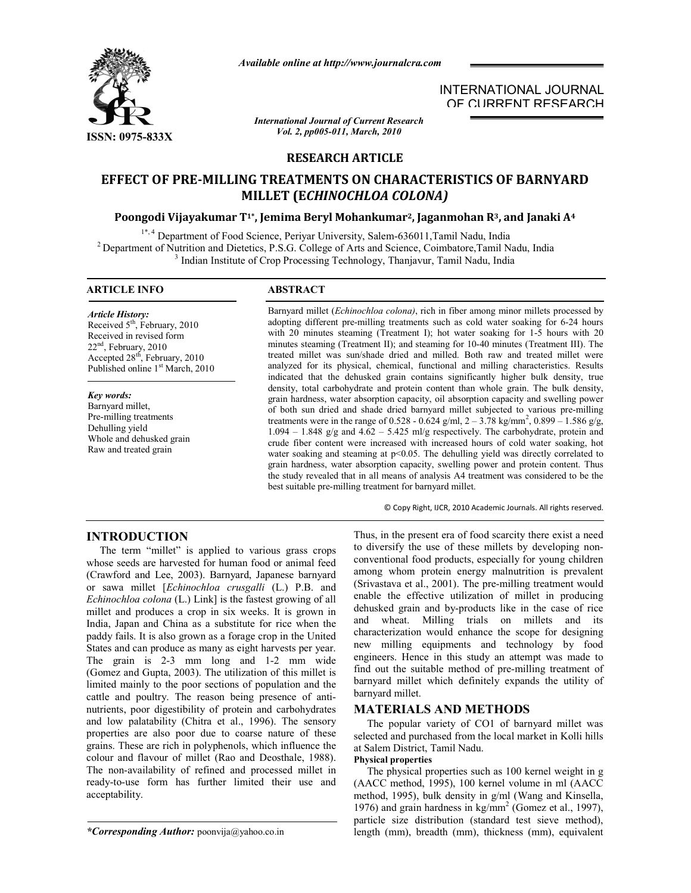

*Available online at http://www.journalcra.com*

*International Journal of Current Research Vol. 2, pp005-011, March, 2010*

INTERNATIONAL JOURNAL OF CURRENT RESEARCH

# **RESEARCH ARTICLE**

# **EFFECT OF PRE-MILLING TREATMENTS ON CHARACTERISTICS OF BARNYARD MILLET (E***CHINOCHLOA COLONA)*

# **Poongodi Vijayakumar T1\*, Jemima Beryl Mohankumar2, Jaganmohan R3, and Janaki A4**

<sup>1\*,4</sup> Department of Food Science, Periyar University, Salem-636011, Tamil Nadu, India<br><sup>2</sup> Department of Nutrition and Dietetics, P.S.G. College of Arts and Science, Coimbatore, Tamil Nadu, India<br><sup>3</sup> Indian Institute of Cr

### **ARTICLE INFO ABSTRACT**

#### *Article History:* Received 5<sup>th</sup>, February, 2010 Received in revised form 22nd, February, 2010 Accepted 28th, February, 2010 Published online 1<sup>st</sup> March, 2010

## *Key words:*

Barnyard millet, Pre-milling treatments Dehulling yield Whole and dehusked grain Raw and treated grain

Barnyard millet (*Echinochloa colona)*, rich in fiber among minor millets processed by adopting different pre-milling treatments such as cold water soaking for 6-24 hours with 20 minutes steaming (Treatment I); hot water soaking for 1-5 hours with 20 minutes steaming (Treatment II); and steaming for 10-40 minutes (Treatment III). The treated millet was sun/shade dried and milled. Both raw and treated millet were analyzed for its physical, chemical, functional and milling characteristics. Results indicated that the dehusked grain contains significantly higher bulk density, true density, total carbohydrate and protein content than whole grain. The bulk density, grain hardness, water absorption capacity, oil absorption capacity and swelling power of both sun dried and shade dried barnyard millet subjected to various pre-milling treatments were in the range of 0.528 - 0.624 g/ml,  $2 - 3.78$  kg/mm<sup>2</sup>, 0.899 - 1.586 g/g,  $1.094 - 1.848$  g/g and  $4.62 - 5.425$  ml/g respectively. The carbohydrate, protein and crude fiber content were increased with increased hours of cold water soaking, hot water soaking and steaming at p<0.05. The dehulling yield was directly correlated to grain hardness, water absorption capacity, swelling power and protein content. Thus the study revealed that in all means of analysis A4 treatment was considered to be the best suitable pre-milling treatment for barnyard millet.

© Copy Right, IJCR, 2010 Academic Journals. All rights reserved.

# **INTRODUCTION**

 The term "millet" is applied to various grass crops whose seeds are harvested for human food or animal feed (Crawford and Lee, 2003). Barnyard, Japanese barnyard or sawa millet [*Echinochloa crusgalli* (L.) P.B. and *Echinochloa colona* (L.) Link] is the fastest growing of all millet and produces a crop in six weeks. It is grown in India, Japan and China as a substitute for rice when the paddy fails. It is also grown as a forage crop in the United States and can produce as many as eight harvests per year. The grain is 2-3 mm long and 1-2 mm wide (Gomez and Gupta, 2003). The utilization of this millet is limited mainly to the poor sections of population and the cattle and poultry. The reason being presence of antinutrients, poor digestibility of protein and carbohydrates and low palatability (Chitra et al., 1996). The sensory properties are also poor due to coarse nature of these grains. These are rich in polyphenols, which influence the colour and flavour of millet (Rao and Deosthale, 1988). The non-availability of refined and processed millet in ready-to-use form has further limited their use and acceptability.

*\*Corresponding Author:* poonvija@yahoo.co.in

Thus, in the present era of food scarcity there exist a need to diversify the use of these millets by developing nonconventional food products, especially for young children among whom protein energy malnutrition is prevalent (Srivastava et al., 2001). The pre-milling treatment would enable the effective utilization of millet in producing dehusked grain and by-products like in the case of rice and wheat. Milling trials on millets and its characterization would enhance the scope for designing new milling equipments and technology by food engineers. Hence in this study an attempt was made to find out the suitable method of pre-milling treatment of barnyard millet which definitely expands the utility of barnyard millet.

# **MATERIALS AND METHODS**

 The popular variety of CO1 of barnyard millet was selected and purchased from the local market in Kolli hills at Salem District, Tamil Nadu.

# **Physical properties**

 The physical properties such as 100 kernel weight in g (AACC method, 1995), 100 kernel volume in ml (AACC method, 1995), bulk density in g/ml (Wang and Kinsella, 1976) and grain hardness in  $\text{kg/mm}^2$  (Gomez et al., 1997), particle size distribution (standard test sieve method), length (mm), breadth (mm), thickness (mm), equivalent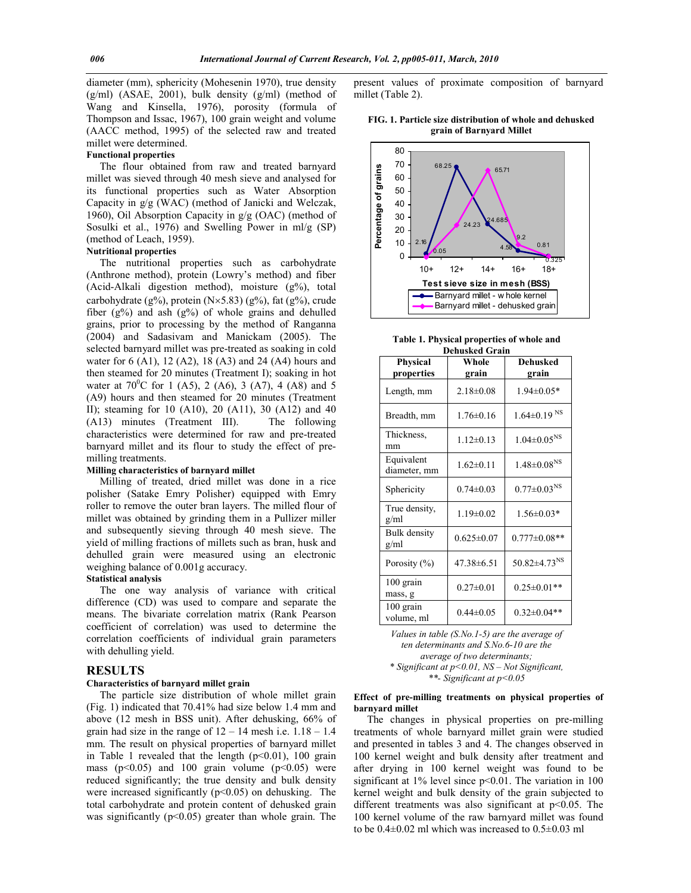diameter (mm), sphericity (Mohesenin 1970), true density  $(g/ml)$  (ASAE, 2001), bulk density  $(g/ml)$  (method of Wang and Kinsella, 1976), porosity (formula of Thompson and Issac, 1967), 100 grain weight and volume (AACC method, 1995) of the selected raw and treated millet were determined.

#### **Functional properties**

 The flour obtained from raw and treated barnyard millet was sieved through 40 mesh sieve and analysed for its functional properties such as Water Absorption Capacity in g/g (WAC) (method of Janicki and Welczak, 1960), Oil Absorption Capacity in g/g (OAC) (method of Sosulki et al., 1976) and Swelling Power in ml/g (SP) (method of Leach, 1959).

## **Nutritional properties**

 The nutritional properties such as carbohydrate (Anthrone method), protein (Lowry's method) and fiber (Acid-Alkali digestion method), moisture (g%), total carbohydrate (g%), protein  $(N \times 5.83)$  (g%), fat (g%), crude fiber ( $g\%$ ) and ash ( $g\%$ ) of whole grains and dehulled grains, prior to processing by the method of Ranganna (2004) and Sadasivam and Manickam (2005). The selected barnyard millet was pre-treated as soaking in cold water for 6 (A1), 12 (A2), 18 (A3) and 24 (A4) hours and then steamed for 20 minutes (Treatment I); soaking in hot water at  $70^{\circ}$ C for 1 (A5), 2 (A6), 3 (A7), 4 (A8) and 5 (A9) hours and then steamed for 20 minutes (Treatment II); steaming for 10 (A10), 20 (A11), 30 (A12) and 40 (A13) minutes (Treatment III). The following characteristics were determined for raw and pre-treated barnyard millet and its flour to study the effect of premilling treatments.

#### **Milling characteristics of barnyard millet**

 Milling of treated, dried millet was done in a rice polisher (Satake Emry Polisher) equipped with Emry roller to remove the outer bran layers. The milled flour of millet was obtained by grinding them in a Pullizer miller and subsequently sieving through 40 mesh sieve. The yield of milling fractions of millets such as bran, husk and dehulled grain were measured using an electronic weighing balance of 0.001g accuracy.

#### **Statistical analysis**

The one way analysis of variance with critical difference (CD) was used to compare and separate the means. The bivariate correlation matrix (Rank Pearson coefficient of correlation) was used to determine the correlation coefficients of individual grain parameters with dehulling yield.

## **RESULTS**

#### **Characteristics of barnyard millet grain**

 The particle size distribution of whole millet grain (Fig. 1) indicated that 70.41% had size below 1.4 mm and above (12 mesh in BSS unit). After dehusking, 66% of grain had size in the range of  $12 - 14$  mesh i.e.  $1.18 - 1.4$ mm. The result on physical properties of barnyard millet in Table 1 revealed that the length  $(p<0.01)$ , 100 grain mass ( $p<0.05$ ) and 100 grain volume ( $p<0.05$ ) were reduced significantly; the true density and bulk density were increased significantly  $(p<0.05)$  on dehusking. The total carbohydrate and protein content of dehusked grain was significantly ( $p$ <0.05) greater than whole grain. The

present values of proximate composition of barnyard millet (Table 2).

**FIG. 1. Particle size distribution of whole and dehusked grain of Barnyard Millet** 



**Table 1. Physical properties of whole and Dehusked Grain**

| <b>Physical</b><br>properties | Whole<br>grain   | <b>Dehusked</b><br>grain       |
|-------------------------------|------------------|--------------------------------|
| Length, mm                    | $2.18 \pm 0.08$  | $1.94 \pm 0.05*$               |
| Breadth, mm                   | $1.76 \pm 0.16$  | $1.64 \pm 0.19$ <sup>NS</sup>  |
| Thickness.<br>mm              | $1.12 \pm 0.13$  | $1.04 \pm 0.05^{NS}$           |
| Equivalent<br>diameter, mm    | $1.62 \pm 0.11$  | $1.48 \pm 0.08^{NS}$           |
| Sphericity                    | $0.74 \pm 0.03$  | $0.77 \pm 0.03^{NS}$           |
| True density,<br>g/ml         | $1.19 \pm 0.02$  | $1.56 \pm 0.03*$               |
| <b>Bulk</b> density<br>g/ml   | $0.625 \pm 0.07$ | $0.777 \pm 0.08$ **            |
| Porosity (%)                  | 47.38±6.51       | $50.82 \pm 4.73$ <sup>NS</sup> |
| 100 grain<br>mass, g          | $0.27 \pm 0.01$  | $0.25 \pm 0.01**$              |
| $100$ grain<br>volume, ml     | $0.44 \pm 0.05$  | $0.32 \pm 0.04**$              |

*Values in table (S.No.1-5) are the average of ten determinants and S.No.6-10 are the average of two determinants; \* Significant at p<0.01, NS – Not Significant,* 

*\*\*- Significant at p<0.05*

#### **Effect of pre-milling treatments on physical properties of barnyard millet**

 The changes in physical properties on pre-milling treatments of whole barnyard millet grain were studied and presented in tables 3 and 4. The changes observed in 100 kernel weight and bulk density after treatment and after drying in 100 kernel weight was found to be significant at  $1\%$  level since  $p<0.01$ . The variation in 100 kernel weight and bulk density of the grain subjected to different treatments was also significant at p<0.05. The 100 kernel volume of the raw barnyard millet was found to be  $0.4\pm0.02$  ml which was increased to  $0.5\pm0.03$  ml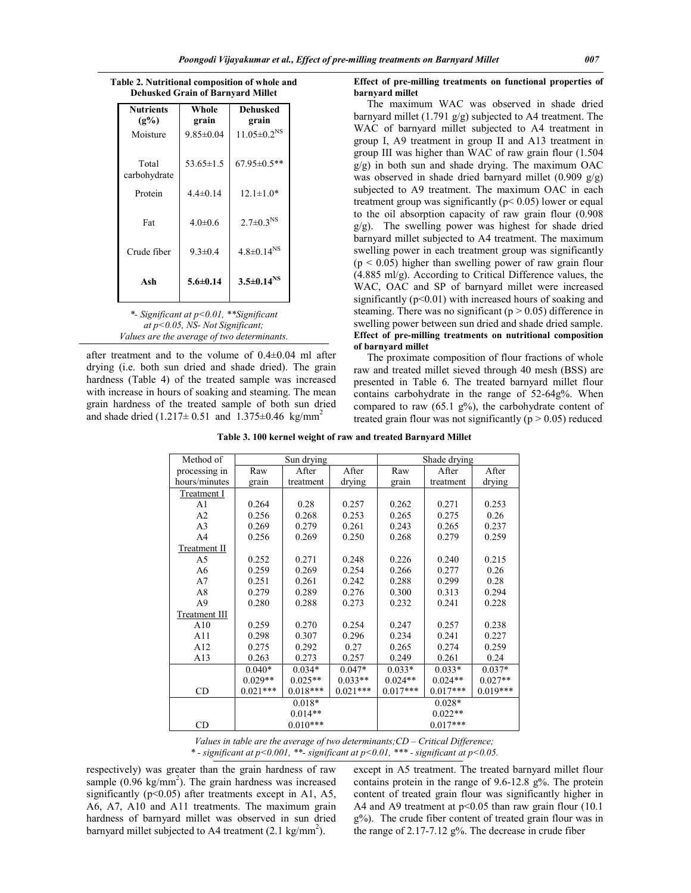| <b>Nutrients</b><br>$(2\%)$ | Whole<br>grain  | Dehusked<br>grain    |  |
|-----------------------------|-----------------|----------------------|--|
| Moisture                    | $9.85 \pm 0.04$ | $11.05 \pm 0.2^{NS}$ |  |
| Total<br>carbohydrate       | $53.65 \pm 1.5$ | 67.95±0.5**          |  |
| Protein                     | $4.4 \pm 0.14$  | $12.1 \pm 1.0*$      |  |
| Fat                         | $4.0\pm0.6$     | $2.7 \pm 0.3^{NS}$   |  |
| Crude fiber                 | $9.3 \pm 0.4$   | $4.8 \pm 0.14^{NS}$  |  |
| Ash                         | $5.6 \pm 0.14$  | $3.5 \pm 0.14^{NS}$  |  |

**Table 2. Nutritional composition of whole and Dehusked Grain of Barnyard Millet**

after treatment and to the volume of 0.4±0.04 ml after drying (i.e. both sun dried and shade dried). The grain hardness (Table 4) of the treated sample was increased with increase in hours of soaking and steaming. The mean grain hardness of the treated sample of both sun dried and shade dried  $(1.217 \pm 0.51$  and  $1.375 \pm 0.46$  kg/mm<sup>2</sup>

*Values are the average of two determinants.*

#### **Effect of pre-milling treatments on functional properties of barnyard millet**

 The maximum WAC was observed in shade dried barnyard millet (1.791 g/g) subjected to A4 treatment. The WAC of barnyard millet subjected to A4 treatment in group I, A9 treatment in group II and A13 treatment in group III was higher than WAC of raw grain flour (1.504  $g/g$ ) in both sun and shade drying. The maximum OAC was observed in shade dried barnyard millet (0.909 g/g) subjected to A9 treatment. The maximum OAC in each treatment group was significantly ( $p$  < 0.05) lower or equal to the oil absorption capacity of raw grain flour (0.908 g/g). The swelling power was highest for shade dried barnyard millet subjected to A4 treatment. The maximum swelling power in each treatment group was significantly  $(p < 0.05)$  higher than swelling power of raw grain flour (4.885 ml/g). According to Critical Difference values, the WAC, OAC and SP of barnyard millet were increased significantly  $(p<0.01)$  with increased hours of soaking and steaming. There was no significant ( $p > 0.05$ ) difference in swelling power between sun dried and shade dried sample. **Effect of pre-milling treatments on nutritional composition of barnyard millet**

 The proximate composition of flour fractions of whole raw and treated millet sieved through 40 mesh (BSS) are presented in Table 6. The treated barnyard millet flour contains carbohydrate in the range of 52-64g%. When compared to raw  $(65.1 \text{ g\%})$ , the carbohydrate content of treated grain flour was not significantly ( $p > 0.05$ ) reduced

|  |  | Table 3. 100 kernel weight of raw and treated Barnyard Millet |  |
|--|--|---------------------------------------------------------------|--|
|  |  |                                                               |  |

| Method of           |            | Sun drying |            | Shade drying |            |            |  |  |  |
|---------------------|------------|------------|------------|--------------|------------|------------|--|--|--|
| processing in       | Raw        | After      | After      | Raw          | After      | After      |  |  |  |
| hours/minutes       | grain      | treatment  | drying     | grain        | treatment  | drying     |  |  |  |
| Treatment I         |            |            |            |              |            |            |  |  |  |
| A <sub>1</sub>      | 0.264      | 0.28       | 0.257      | 0.262        | 0.271      | 0.253      |  |  |  |
| A2                  | 0.256      | 0.268      | 0.253      | 0.265        | 0.275      | 0.26       |  |  |  |
| A <sub>3</sub>      | 0.269      | 0.279      | 0.261      | 0.243        | 0.265      | 0.237      |  |  |  |
| A4                  | 0.256      | 0.269      | 0.250      | 0.268        | 0.279      | 0.259      |  |  |  |
| <b>Treatment II</b> |            |            |            |              |            |            |  |  |  |
| A <sub>5</sub>      | 0.252      | 0.271      | 0.248      | 0.226        | 0.240      | 0.215      |  |  |  |
| A6                  | 0.259      | 0.269      | 0.254      | 0.266        | 0.277      | 0.26       |  |  |  |
| A7                  | 0.251      | 0.261      | 0.242      | 0.288        | 0.299      | 0.28       |  |  |  |
| A8                  | 0.279      | 0.289      | 0.276      | 0.300        | 0.313      | 0.294      |  |  |  |
| A9                  | 0.280      | 0.288      | 0.273      | 0.232        | 0.241      | 0.228      |  |  |  |
| Treatment III       |            |            |            |              |            |            |  |  |  |
| A10                 | 0.259      | 0.270      | 0.254      | 0.247        | 0.257      | 0.238      |  |  |  |
| A11                 | 0.298      | 0.307      | 0.296      | 0.234        | 0.241      | 0.227      |  |  |  |
| A12                 | 0.275      | 0.292      | 0.27       | 0.265        | 0.274      | 0.259      |  |  |  |
| A13                 | 0.263      | 0.273      | 0.257      | 0.249        | 0.261      | 0.24       |  |  |  |
|                     | $0.040*$   | $0.034*$   | $0.047*$   | $0.033*$     | $0.033*$   | $0.037*$   |  |  |  |
|                     | $0.029**$  | $0.025**$  | $0.033**$  | $0.024**$    | $0.024**$  | $0.027**$  |  |  |  |
| CD                  | $0.021***$ | $0.018***$ | $0.021***$ | $0.017***$   | $0.017***$ | $0.019***$ |  |  |  |
|                     |            | $0.018*$   |            |              | $0.028*$   |            |  |  |  |
|                     |            | $0.014**$  |            |              | $0.022**$  |            |  |  |  |
| CD                  |            | $0.010***$ |            |              | $0.017***$ |            |  |  |  |

*Values in table are the average of two determinants;CD – Critical Difference; \* - significant at p<0.001, \*\*- significant at p<0.01, \*\*\* - significant at p<0.05.*

respectively) was greater than the grain hardness of raw sample  $(0.96 \text{ kg/mm}^2)$ . The grain hardness was increased significantly ( $p<0.05$ ) after treatments except in A1, A5, A6, A7, A10 and A11 treatments. The maximum grain hardness of barnyard millet was observed in sun dried barnyard millet subjected to A4 treatment  $(2.1 \text{ kg/mm}^2)$ .

except in A5 treatment. The treated barnyard millet flour contains protein in the range of 9.6-12.8 g%. The protein content of treated grain flour was significantly higher in A4 and A9 treatment at  $p<0.05$  than raw grain flour (10.1) g%). The crude fiber content of treated grain flour was in the range of 2.17-7.12 g%. The decrease in crude fiber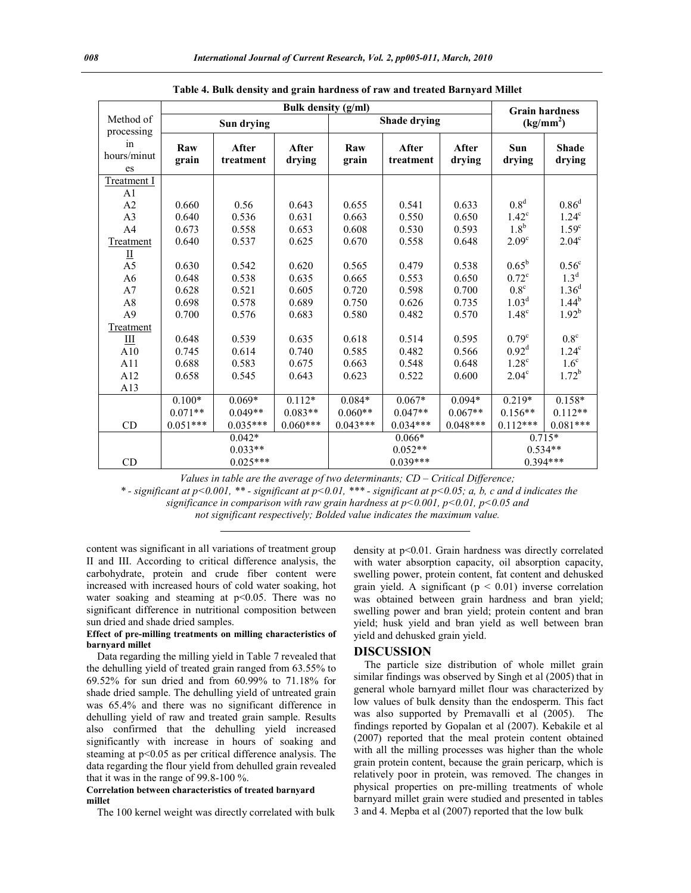|                         |              | <b>Grain hardness</b> |                 |              |                    |                       |                   |                        |
|-------------------------|--------------|-----------------------|-----------------|--------------|--------------------|-----------------------|-------------------|------------------------|
| Method of<br>processing |              | Sun drying            |                 |              | Shade drying       | (kg/mm <sup>2</sup> ) |                   |                        |
| in<br>hours/minut<br>es | Raw<br>grain | After<br>treatment    | After<br>drying | Raw<br>grain | After<br>treatment | After<br>drying       | Sun<br>drying     | <b>Shade</b><br>drying |
| Treatment I             |              |                       |                 |              |                    |                       |                   |                        |
| A <sub>1</sub>          |              |                       |                 |              |                    |                       |                   |                        |
| A <sub>2</sub>          | 0.660        | 0.56                  | 0.643           | 0.655        | 0.541              | 0.633                 | 0.8 <sup>d</sup>  | $0.86^d$               |
| A3                      | 0.640        | 0.536                 | 0.631           | 0.663        | 0.550              | 0.650                 | $1.42^{\circ}$    | $1.24^c$               |
| A <sub>4</sub>          | 0.673        | 0.558                 | 0.653           | 0.608        | 0.530              | 0.593                 | 1.8 <sup>b</sup>  | 1.59 <sup>c</sup>      |
| Treatment               | 0.640        | 0.537                 | 0.625           | 0.670        | 0.558              | 0.648                 | 2.09 <sup>c</sup> | 2.04 <sup>c</sup>      |
| Ш<br>A <sub>5</sub>     | 0.630        | 0.542                 | 0.620           | 0.565        | 0.479              | 0.538                 | $0.65^{\rm b}$    | $0.56^{\rm c}$         |
| A <sub>6</sub>          | 0.648        | 0.538                 | 0.635           | 0.665        | 0.553              | 0.650                 | $0.72^{\circ}$    | 1.3 <sup>d</sup>       |
| A7                      | 0.628        | 0.521                 | 0.605           | 0.720        | 0.598              | 0.700                 | $0.8^{\circ}$     | $1.36^{d}$             |
| A8                      | 0.698        | 0.578                 | 0.689           | 0.750        | 0.626              | 0.735                 | 1.03 <sup>d</sup> | $1.44^{b}$             |
| A <sub>9</sub>          | 0.700        | 0.576                 | 0.683           | 0.580        | 0.482              | 0.570                 | $1.48^\circ$      | $1.92^{b}$             |
| Treatment               |              |                       |                 |              |                    |                       |                   |                        |
| Ш                       | 0.648        | 0.539                 | 0.635           | 0.618        | 0.514              | 0.595                 | 0.79 <sup>c</sup> | $0.8^{\circ}$          |
| A10                     | 0.745        | 0.614                 | 0.740           | 0.585        | 0.482              | 0.566                 | $0.92^d$          | 1.24 <sup>c</sup>      |
| A11                     | 0.688        | 0.583                 | 0.675           | 0.663        | 0.548              | 0.648                 | 1.28 <sup>c</sup> | 1.6 <sup>c</sup>       |
| A12                     | 0.658        | 0.545                 | 0.643           | 0.623        | 0.522              | 0.600                 | $2.04^{\circ}$    | $1.72^b$               |
| A13                     |              |                       |                 |              |                    |                       |                   |                        |
|                         | $0.100*$     | $0.069*$              | $0.112*$        | $0.084*$     | $0.067*$           | $0.094*$              | $0.219*$          | $0.158*$               |
|                         | $0.071**$    | $0.049**$             | $0.083**$       | $0.060**$    | $0.047**$          | $0.067**$             | $0.156**$         | $0.112**$              |
| CD                      | $0.051***$   | $0.035***$            | $0.060***$      | $0.043***$   | $0.034***$         | $0.048***$            | $0.112***$        | $0.081***$             |
|                         |              | $0.042*$              |                 |              | $0.066*$           |                       | $0.715*$          |                        |
|                         |              | $0.033**$             |                 |              | $0.052**$          |                       | $0.534**$         |                        |
| CD                      |              | $0.025***$            |                 |              | $0.039***$         |                       | $0.394***$        |                        |

|  |  |  |  | Table 4. Bulk density and grain hardness of raw and treated Barnyard Millet |  |
|--|--|--|--|-----------------------------------------------------------------------------|--|
|  |  |  |  |                                                                             |  |

*Values in table are the average of two determinants; CD – Critical Difference;*

*\* - significant at p<0.001, \*\* - significant at p<0.01, \*\*\* - significant at p<0.05; a, b, c and d indicates the significance in comparison with raw grain hardness at p<0.001, p<0.01, p<0.05 and not significant respectively; Bolded value indicates the maximum value.*

content was significant in all variations of treatment group II and III. According to critical difference analysis, the carbohydrate, protein and crude fiber content were increased with increased hours of cold water soaking, hot water soaking and steaming at  $p<0.05$ . There was no significant difference in nutritional composition between sun dried and shade dried samples.

#### **Effect of pre-milling treatments on milling characteristics of barnyard millet**

 Data regarding the milling yield in Table 7 revealed that the dehulling yield of treated grain ranged from 63.55% to 69.52% for sun dried and from 60.99% to 71.18% for shade dried sample. The dehulling yield of untreated grain was 65.4% and there was no significant difference in dehulling yield of raw and treated grain sample. Results also confirmed that the dehulling yield increased significantly with increase in hours of soaking and steaming at p<0.05 as per critical difference analysis. The data regarding the flour yield from dehulled grain revealed that it was in the range of 99.8-100 %.

### **Correlation between characteristics of treated barnyard millet**

The 100 kernel weight was directly correlated with bulk

density at p<0.01. Grain hardness was directly correlated with water absorption capacity, oil absorption capacity, swelling power, protein content, fat content and dehusked grain yield. A significant ( $p < 0.01$ ) inverse correlation was obtained between grain hardness and bran yield; swelling power and bran yield; protein content and bran yield; husk yield and bran yield as well between bran yield and dehusked grain yield.

#### **DISCUSSION**

 The particle size distribution of whole millet grain similar findings was observed by Singh et al (2005) that in general whole barnyard millet flour was characterized by low values of bulk density than the endosperm. This fact was also supported by Premavalli et al (2005). The findings reported by Gopalan et al (2007). Kebakile et al (2007) reported that the meal protein content obtained with all the milling processes was higher than the whole grain protein content, because the grain pericarp, which is relatively poor in protein, was removed. The changes in physical properties on pre-milling treatments of whole barnyard millet grain were studied and presented in tables 3 and 4. Mepba et al (2007) reported that the low bulk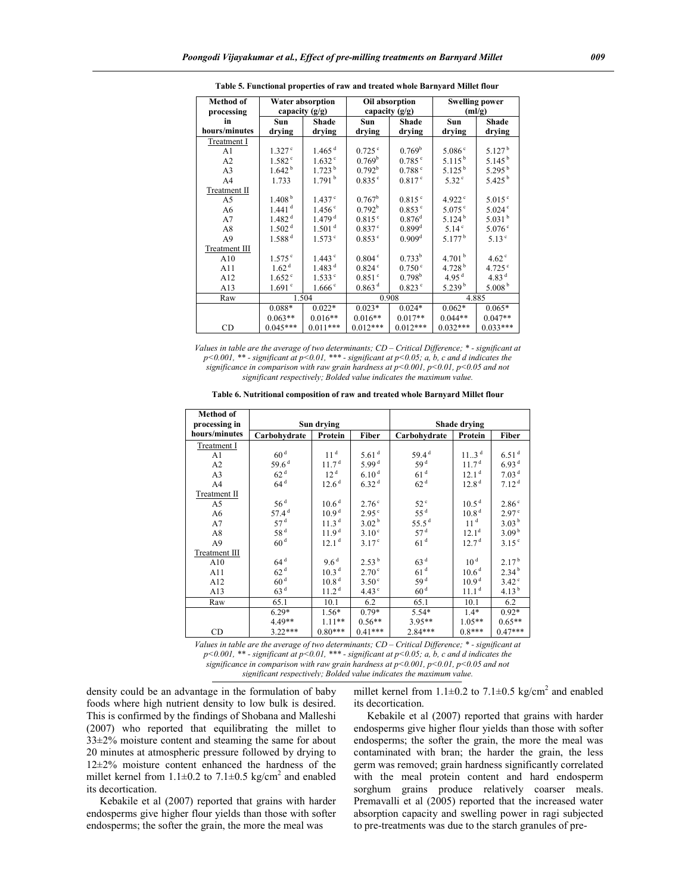| <b>Method of</b><br>processing | Water absorption<br>capacity $(g/g)$ |                      |                      | Oil absorption<br>capacity $(g/g)$ | <b>Swelling power</b><br>(ml/g) |                      |
|--------------------------------|--------------------------------------|----------------------|----------------------|------------------------------------|---------------------------------|----------------------|
| in                             | Sun                                  | Shade                | Sun                  | Shade                              | Sun                             | Shade                |
| hours/minutes                  | drying                               | drying               | drying               | drying                             | drying                          | drying               |
| Treatment I                    |                                      |                      |                      |                                    |                                 |                      |
| A <sub>1</sub>                 | 1.327c                               | $1.465$ <sup>d</sup> | 0.725c               | 0.769 <sup>b</sup>                 | 5.086c                          | 5.127 <sup>b</sup>   |
| A <sub>2</sub>                 | 1.582 <sup>c</sup>                   | $1.632$ <sup>c</sup> | 0.769 <sup>b</sup>   | $0.785^{\circ}$                    | $5.115^{b}$                     | 5.145 $^{\rm b}$     |
| A <sub>3</sub>                 | 1.642 <sup>b</sup>                   | 1.723 <sup>b</sup>   | 0.792 <sup>b</sup>   | 0.788c                             | 5.125 <sup>b</sup>              | 5.295 <sup>b</sup>   |
| A <sub>4</sub>                 | 1.733                                | 1.791 <sup>b</sup>   | $0.835^{\circ}$      | 0.817 <sup>c</sup>                 | $5.32^{\circ}$                  | $5.425^{b}$          |
| Treatment II                   |                                      |                      |                      |                                    |                                 |                      |
| A5                             | 1.408 <sup>b</sup>                   | 1.437 <sup>c</sup>   | $0.767^{\rm b}$      | $0.815$ <sup>c</sup>               | 4.922 $^{\circ}$                | $5.015^{\circ}$      |
| A6                             | $1.441$ <sup>d</sup>                 | 1.456 <sup>c</sup>   | $0.792^b$            | $0.853$ $\degree$                  | $5.075$ °                       | $5.024$ <sup>c</sup> |
| A7                             | 1.482 <sup>d</sup>                   | 1.479 <sup>d</sup>   | $0.815^{\circ}$      | $0.876$ <sup>d</sup>               | 5.124 <sup>b</sup>              | 5.031 <sup>b</sup>   |
| A8                             | 1.502 <sup>d</sup>                   | 1.501 <sup>d</sup>   | $0.837$ <sup>c</sup> | $0.899$ <sup>d</sup>               | 5.14 <sup>c</sup>               | $5.076$ <sup>c</sup> |
| A <sup>9</sup>                 | 1.588 <sup>d</sup>                   | $1.573$ $\degree$    | $0.853^{\circ}$      | 0.909 <sup>d</sup>                 | 5.177 <sup>b</sup>              | $5.13^{\circ}$       |
| Treatment III                  |                                      |                      |                      |                                    |                                 |                      |
| A10                            | $1.575^{\circ}$                      | $1.443$ $\degree$    | $0.804$ <sup>c</sup> | $0.733^b$                          | 4.701 $^{\rm b}$                | $4.62^{\circ}$       |
| A11                            | 1.62 <sup>d</sup>                    | 1.483 <sup>d</sup>   | 0.824c               | $0.750^{\circ}$                    | 4.728 $^{\rm b}$                | $4.725$ °            |
| A12                            | 1.652 <sup>c</sup>                   | 1.533c               | 0.851 <sup>c</sup>   | 0.798 <sup>b</sup>                 | 4.95 <sup>d</sup>               | 4.83 $d$             |
| A13                            | 1.691 <sup>c</sup>                   | 1.666c               | 0.863 <sup>d</sup>   | $0.823$ °                          | 5.239 <sup>b</sup>              | 5.008 <sup>b</sup>   |
| Raw                            |                                      | 1.504                |                      | 0.908                              |                                 | 4.885                |
|                                | $0.088*$                             | $0.022*$             | $0.023*$             | $0.024*$                           | $0.062*$                        | $0.065*$             |
|                                | $0.063**$                            | $0.016**$            | $0.016**$            | $0.017**$                          | $0.044**$                       | $0.047**$            |
| CD                             | $0.045***$                           | $0.011***$           | $0.012***$           | $0.012***$                         | $0.032***$                      | $0.033***$           |

 **Table 5. Functional properties of raw and treated whole Barnyard Millet flour**

*Values in table are the average of two determinants; CD – Critical Difference; \* - significant at p<0.001, \*\* - significant at p<0.01, \*\*\* - significant at p<0.05; a, b, c and d indicates the significance in comparison with raw grain hardness at p<0.001, p<0.01, p<0.05 and not significant respectively; Bolded value indicates the maximum value.*

|  |  |  | Table 6. Nutritional composition of raw and treated whole Barnyard Millet flour |
|--|--|--|---------------------------------------------------------------------------------|
|--|--|--|---------------------------------------------------------------------------------|

| <b>Method of</b> |                   |                   |                   |                   |                   |                   |
|------------------|-------------------|-------------------|-------------------|-------------------|-------------------|-------------------|
| processing in    |                   | Sun drying        |                   |                   | Shade drying      |                   |
| hours/minutes    | Carbohydrate      | Protein           | Fiber             | Carbohydrate      | Protein           | Fiber             |
| Treatment I      |                   |                   |                   |                   |                   |                   |
| A1               | 60 <sup>d</sup>   | 11 <sup>d</sup>   | 5.61 <sup>d</sup> | 59.4 <sup>d</sup> | 113 <sup>d</sup>  | 6.51 <sup>d</sup> |
| A2               | 59.6 <sup>d</sup> | 11.7 <sup>d</sup> | 5.99 <sup>d</sup> | 59 <sup>d</sup>   | 11.7 <sup>d</sup> | 6.93 <sup>d</sup> |
| A <sub>3</sub>   | 62 <sup>d</sup>   | 12 <sup>d</sup>   | 6.10 <sup>d</sup> | 61 <sup>d</sup>   | 12.1 <sup>d</sup> | 7.03 <sup>d</sup> |
| A <sub>4</sub>   | 64 <sup>d</sup>   | 12.6 <sup>d</sup> | 6.32 <sup>d</sup> | 62 <sup>d</sup>   | 12.8 <sup>d</sup> | 7.12 <sup>d</sup> |
| Treatment II     |                   |                   |                   |                   |                   |                   |
| A5               | 56 <sup>d</sup>   | 10.6 <sup>d</sup> | 2.76 <sup>c</sup> | $52^{\circ}$      | 10.5 <sup>d</sup> | 2.86 <sup>c</sup> |
| A6               | 57.4 <sup>d</sup> | 10.9 <sup>d</sup> | $2.95^{\circ}$    | 55 <sup>d</sup>   | 10.8 <sup>d</sup> | 2.97 <sup>c</sup> |
| A7               | 57 <sup>d</sup>   | 11.3 <sup>d</sup> | 3.02 <sup>b</sup> | 55.5 $d$          | 11 <sup>d</sup>   | 3.03 <sup>b</sup> |
| A8               | 58 <sup>d</sup>   | 11.9 <sup>d</sup> | 3.10 <sup>c</sup> | 57 <sup>d</sup>   | $12.1^d$          | 3.09 <sup>b</sup> |
| A <sub>9</sub>   | 60 <sup>d</sup>   | 12.1 <sup>d</sup> | 3.17 <sup>c</sup> | 61 <sup>d</sup>   | 12.7 <sup>d</sup> | 3.15 <sup>c</sup> |
| Treatment III    |                   |                   |                   |                   |                   |                   |
| A10              | 64 <sup>d</sup>   | 9.6 <sup>d</sup>  | 2.53 <sup>b</sup> | 63 <sup>d</sup>   | 10 <sup>d</sup>   | 2.17 <sup>b</sup> |
| A11              | 62 <sup>d</sup>   | 10.3 <sup>d</sup> | 2.70 <sup>c</sup> | 61 <sup>d</sup>   | 10.6 <sup>d</sup> | 2.34 <sup>b</sup> |
| A12              | 60 <sup>d</sup>   | 10.8 <sup>d</sup> | 3.50 <sup>c</sup> | 59 <sup>d</sup>   | 10.9 <sup>d</sup> | 3.42°             |
| A13              | 63 <sup>d</sup>   | 11.2 <sup>d</sup> | 4.43 <sup>c</sup> | 60 <sup>d</sup>   | 11.1 <sup>d</sup> | 4.13 <sup>b</sup> |
| Raw              | 65.1              | 10.1              | 6.2               | 65.1              | 10.1              | 6.2               |
|                  | $6.29*$           | $1.56*$           | $0.79*$           | $5.54*$           | $1.4*$            | $0.92*$           |
|                  | 4.49**            | $1.11**$          | $0.56**$          | $3.95**$          | $1.05**$          | $0.65**$          |
| CD               | $3.22***$         | $0.80***$         | $0.41***$         | $2.84***$         | $0.8***$          | $0.47***$         |

*Values in table are the average of two determinants; CD – Critical Difference; \* - significant at p<0.001, \*\* - significant at p<0.01, \*\*\* - significant at p<0.05; a, b, c and d indicates the significance in comparison with raw grain hardness at p<0.001, p<0.01, p<0.05 and not significant respectively; Bolded value indicates the maximum value.*

density could be an advantage in the formulation of baby foods where high nutrient density to low bulk is desired. This is confirmed by the findings of Shobana and Malleshi (2007) who reported that equilibrating the millet to 33±2% moisture content and steaming the same for about 20 minutes at atmospheric pressure followed by drying to 12±2% moisture content enhanced the hardness of the millet kernel from  $1.1\pm0.2$  to  $7.1\pm0.5$  kg/cm<sup>2</sup> and enabled its decortication.

 Kebakile et al (2007) reported that grains with harder endosperms give higher flour yields than those with softer endosperms; the softer the grain, the more the meal was

millet kernel from  $1.1\pm0.2$  to  $7.1\pm0.5$  kg/cm<sup>2</sup> and enabled its decortication.

 Kebakile et al (2007) reported that grains with harder endosperms give higher flour yields than those with softer endosperms; the softer the grain, the more the meal was contaminated with bran; the harder the grain, the less germ was removed; grain hardness significantly correlated with the meal protein content and hard endosperm sorghum grains produce relatively coarser meals. Premavalli et al (2005) reported that the increased water absorption capacity and swelling power in ragi subjected to pre-treatments was due to the starch granules of pre-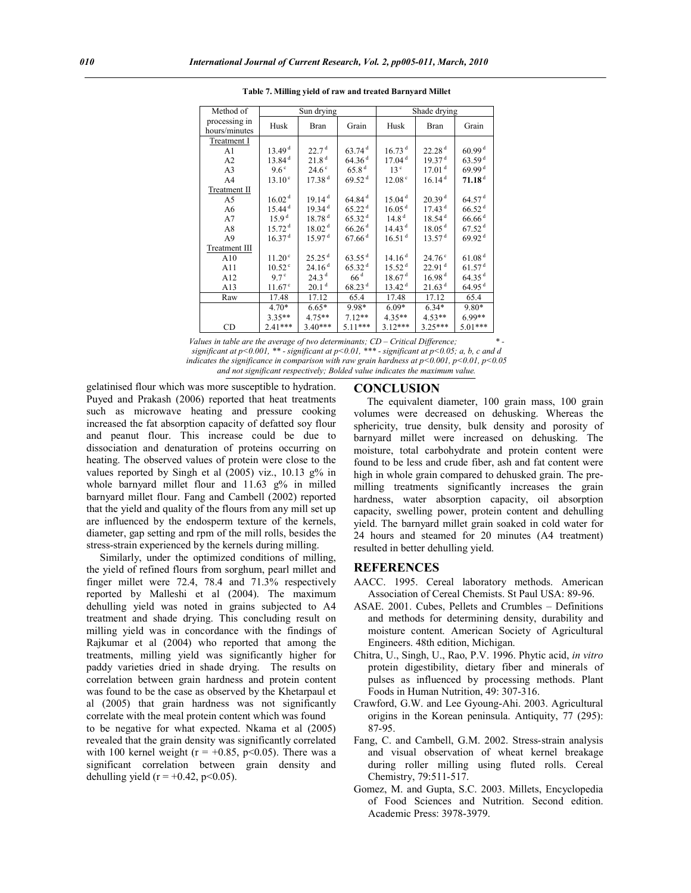| Method of                      | Sun drying<br>Shade drying |                    |                      |                    |                    |                      |
|--------------------------------|----------------------------|--------------------|----------------------|--------------------|--------------------|----------------------|
| processing in<br>hours/minutes | Husk                       | Bran               | Grain                | Husk               | Bran               | Grain                |
| Treatment I                    |                            |                    |                      |                    |                    |                      |
| A1                             | 13.49 <sup>d</sup>         | 22.7 <sup>d</sup>  | $63.74$ <sup>d</sup> | 16.73 <sup>d</sup> | 22.28 <sup>d</sup> | 60.99 <sup>d</sup>   |
| A <sub>2</sub>                 | 13.84 <sup>d</sup>         | 21.8 <sup>d</sup>  | 64.36 <sup>d</sup>   | 17.04 <sup>d</sup> | 19.37 <sup>d</sup> | 63.59 <sup>d</sup>   |
| A3                             | $9.6^\circ$                | $24.6^\circ$       | 65.8 <sup>d</sup>    | 13 <sup>c</sup>    | 17.01 <sup>d</sup> | 69.99 <sup>d</sup>   |
| A <sub>4</sub>                 | $13.10^{\circ}$            | 17.38 <sup>d</sup> | 69.52 <sup>d</sup>   | 12.08 <sup>c</sup> | 16.14 <sup>d</sup> | $71.18$ <sup>d</sup> |
| Treatment II                   |                            |                    |                      |                    |                    |                      |
| A5                             | 16.02 <sup>d</sup>         | 19.14 <sup>d</sup> | $64.84$ <sup>d</sup> | 15.04 <sup>d</sup> | 20.39 <sup>d</sup> | 64.57 <sup>d</sup>   |
| A6                             | 15.44 <sup>d</sup>         | 19.34 <sup>d</sup> | 65.22 <sup>d</sup>   | 16.05 <sup>d</sup> | 17.43 <sup>d</sup> | $66.52$ <sup>d</sup> |
| A7                             | 15.9 <sup>d</sup>          | 18.78 <sup>d</sup> | 65.32 <sup>d</sup>   | 14.8 <sup>d</sup>  | 18.54 <sup>d</sup> | $66.66$ <sup>d</sup> |
| A8                             | 15.72 <sup>d</sup>         | 18.02 <sup>d</sup> | $66.26$ <sup>d</sup> | 14.43 <sup>d</sup> | 18.05 <sup>d</sup> | $67.52$ <sup>d</sup> |
| A9                             | 16.37 <sup>d</sup>         | 15.97 <sup>d</sup> | $67.66$ <sup>d</sup> | 16.51 <sup>d</sup> | 13.57 <sup>d</sup> | 69.92 <sup>d</sup>   |
| Treatment III                  |                            |                    |                      |                    |                    |                      |
| A10                            | 11.20 <sup>c</sup>         | 25.25 <sup>d</sup> | $63.55$ <sup>d</sup> | 14.16 <sup>d</sup> | $24.76^{\circ}$    | 61.08 <sup>d</sup>   |
| A11                            | 10.52 <sup>c</sup>         | 24.16 <sup>d</sup> | 65.32 <sup>d</sup>   | 15.52 <sup>d</sup> | 22.91 <sup>d</sup> | 61.57 <sup>d</sup>   |
| A12                            | $9.7^\circ$                | 24.3 <sup>d</sup>  | 66 <sup>d</sup>      | 18.67 <sup>d</sup> | 16.98 <sup>d</sup> | $64.35$ <sup>d</sup> |
| A13                            | $11.67^{\circ}$            | 20.1 <sup>d</sup>  | 68.23 <sup>d</sup>   | 13.42 <sup>d</sup> | 21.63 <sup>d</sup> | 64.95 <sup>d</sup>   |
| Raw                            | 17.48                      | 17.12              | 65.4                 | 17.48              | 17.12              | 65.4                 |
|                                | $4.70*$                    | $6.65*$            | 9.98*                | $6.09*$            | $6.34*$            | $9.80*$              |
|                                | $3.35**$                   | $4.75**$           | $7.12**$             | $4.35**$           | $4.53**$           | $6.99**$             |
| CD                             | $2.41***$                  | $3.40***$          | 5.11***              | $3.12***$          | $3.25***$          | 5.01***              |

**Table 7. Milling yield of raw and treated Barnyard Millet**

*Values in table are the average of two determinants; CD – Critical Difference; \* significant at p<0.001, \*\* - significant at p<0.01, \*\*\* - significant at p<0.05; a, b, c and d indicates the significance in comparison with raw grain hardness at p<0.001, p<0.01, p<0.05 and not significant respectively; Bolded value indicates the maximum value.*

gelatinised flour which was more susceptible to hydration. Puyed and Prakash (2006) reported that heat treatments such as microwave heating and pressure cooking increased the fat absorption capacity of defatted soy flour and peanut flour. This increase could be due to dissociation and denaturation of proteins occurring on heating. The observed values of protein were close to the values reported by Singh et al (2005) viz., 10.13 g% in whole barnyard millet flour and 11.63 g% in milled barnyard millet flour. Fang and Cambell (2002) reported that the yield and quality of the flours from any mill set up are influenced by the endosperm texture of the kernels, diameter, gap setting and rpm of the mill rolls, besides the stress-strain experienced by the kernels during milling.

 Similarly, under the optimized conditions of milling, the yield of refined flours from sorghum, pearl millet and finger millet were 72.4, 78.4 and 71.3% respectively reported by Malleshi et al (2004). The maximum dehulling yield was noted in grains subjected to A4 treatment and shade drying. This concluding result on milling yield was in concordance with the findings of Rajkumar et al (2004) who reported that among the treatments, milling yield was significantly higher for paddy varieties dried in shade drying. The results on correlation between grain hardness and protein content was found to be the case as observed by the Khetarpaul et al (2005) that grain hardness was not significantly correlate with the meal protein content which was found to be negative for what expected. Nkama et al (2005) revealed that the grain density was significantly correlated with 100 kernel weight ( $r = +0.85$ ,  $p < 0.05$ ). There was a significant correlation between grain density and dehulling yield ( $r = +0.42$ ,  $p < 0.05$ ).

#### **CONCLUSION**

 The equivalent diameter, 100 grain mass, 100 grain volumes were decreased on dehusking. Whereas the sphericity, true density, bulk density and porosity of barnyard millet were increased on dehusking. The moisture, total carbohydrate and protein content were found to be less and crude fiber, ash and fat content were high in whole grain compared to dehusked grain. The premilling treatments significantly increases the grain hardness, water absorption capacity, oil absorption capacity, swelling power, protein content and dehulling yield. The barnyard millet grain soaked in cold water for 24 hours and steamed for 20 minutes (A4 treatment) resulted in better dehulling yield.

#### **REFERENCES**

- AACC. 1995. Cereal laboratory methods. American Association of Cereal Chemists. St Paul USA: 89-96.
- ASAE. 2001. Cubes, Pellets and Crumbles Definitions and methods for determining density, durability and moisture content. American Society of Agricultural Engineers. 48th edition, Michigan.
- Chitra, U., Singh, U., Rao, P.V. 1996. Phytic acid, *in vitro* protein digestibility, dietary fiber and minerals of pulses as influenced by processing methods. Plant Foods in Human Nutrition, 49: 307-316.
- Crawford, G.W. and Lee Gyoung-Ahi. 2003. Agricultural origins in the Korean peninsula. Antiquity, 77 (295): 87-95.
- Fang, C. and Cambell, G.M. 2002. Stress-strain analysis and visual observation of wheat kernel breakage during roller milling using fluted rolls. Cereal Chemistry, 79:511-517.
- Gomez, M. and Gupta, S.C. 2003. Millets, Encyclopedia of Food Sciences and Nutrition. Second edition. Academic Press: 3978-3979.